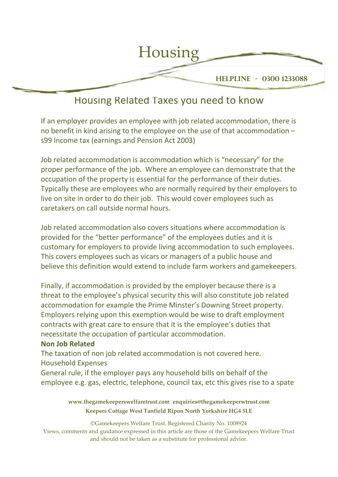

# Housing Related Taxes you need to know

If an employer provides an employee with job related accommodation, there is no benefit in kind arising to the employee on the use of that accommodation – s99 Income tax (earnings and Pension Act 2003)

Job related accommodation is accommodation which is "necessary" for the proper performance of the job. Where an employee can demonstrate that the occupation of the property is essential for the performance of their duties. Typically these are employees who are normally required by their employers to live on site in order to do their job. This would cover employees such as caretakers on call outside normal hours.

Job related accommodation also covers situations where accommodation is provided for the "better performance" of the employees duties and it is customary for employers to provide living accommodation to such employees. This covers employees such as vicars or managers of a public house and believe this definition would extend to include farm workers and gamekeepers.

Finally, if accommodation is provided by the employer because there is a threat to the employee's physical security this will also constitute job related accommodation for example the Prime Minster's Downing Street property. Employers relying upon this exemption would be wise to draft employment contracts with great care to ensure that it is the employee's duties that necessitate the occupation of particular accommodation.

#### **Non Job Related**

The taxation of non job related accommodation is not covered here. Household Expenses

General rule, if the employer pays any household bills on behalf of the employee e.g. gas, electric, telephone, council tax, etc this gives rise to a spate

> **www.thegamekeeperswelfaretrust.com enquiries@thegamekeeperwtrust.com Keepers Cottage West Tanfield Ripon North Yorkshire HG4 5LE**

©Gamekeepers Welfare Trust. Registered Charity No. 1008924 Views, comments and guidance expressed in this article are those of the Gamekeepers Welfare Trust and should not be taken as a substitute for professional advice.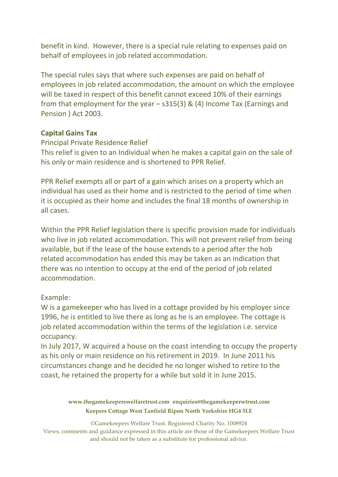benefit in kind. However, there is a special rule relating to expenses paid on behalf of employees in job related accommodation.

The special rules says that where such expenses are paid on behalf of employees in job related accommodation, the amount on which the employee will be taxed in respect of this benefit cannot exceed 10% of their earnings from that employment for the year – s315(3) & (4) Income Tax (Earnings and Pension ) Act 2003.

## **Capital Gains Tax**

Principal Private Residence Relief This relief is given to an Individual when he makes a capital gain on the sale of his only or main residence and is shortened to PPR Relief.

PPR Relief exempts all or part of a gain which arises on a property which an individual has used as their home and is restricted to the period of time when it is occupied as their home and includes the final 18 months of ownership in all cases.

Within the PPR Relief legislation there is specific provision made for individuals who live in job related accommodation. This will not prevent relief from being available, but if the lease of the house extends to a period after the hob related accommodation has ended this may be taken as an indication that there was no intention to occupy at the end of the period of job related accommodation.

# Example:

W is a gamekeeper who has lived in a cottage provided by his employer since 1996, he is entitled to live there as long as he is an employee. The cottage is job related accommodation within the terms of the legislation i.e. service occupancy.

In July 2017, W acquired a house on the coast intending to occupy the property as his only or main residence on his retirement in 2019. In June 2011 his circumstances change and he decided he no longer wished to retire to the coast, he retained the property for a while but sold it in June 2015.

> **www.thegamekeeperswelfaretrust.com enquiries@thegamekeeperwtrust.com Keepers Cottage West Tanfield Ripon North Yorkshire HG4 5LE**

©Gamekeepers Welfare Trust. Registered Charity No. 1008924 Views, comments and guidance expressed in this article are those of the Gamekeepers Welfare Trust and should not be taken as a substitute for professional advice.